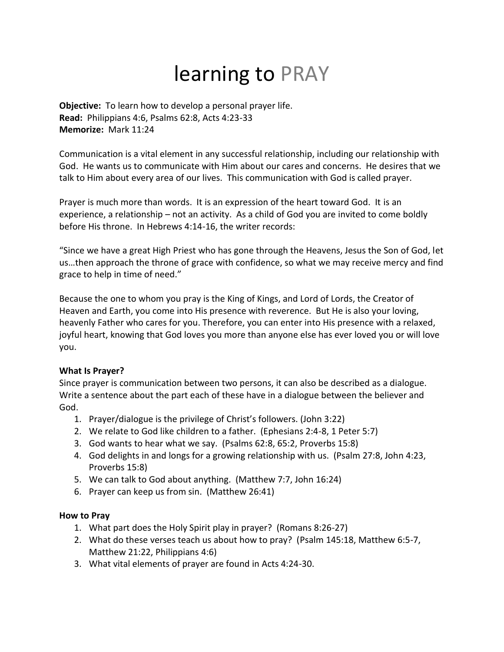# learning to PRAY

**Objective:** To learn how to develop a personal prayer life. **Read:** Philippians 4:6, Psalms 62:8, Acts 4:23-33 **Memorize:** Mark 11:24

Communication is a vital element in any successful relationship, including our relationship with God. He wants us to communicate with Him about our cares and concerns. He desires that we talk to Him about every area of our lives. This communication with God is called prayer.

Prayer is much more than words. It is an expression of the heart toward God. It is an experience, a relationship – not an activity. As a child of God you are invited to come boldly before His throne. In Hebrews 4:14-16, the writer records:

"Since we have a great High Priest who has gone through the Heavens, Jesus the Son of God, let us…then approach the throne of grace with confidence, so what we may receive mercy and find grace to help in time of need."

Because the one to whom you pray is the King of Kings, and Lord of Lords, the Creator of Heaven and Earth, you come into His presence with reverence. But He is also your loving, heavenly Father who cares for you. Therefore, you can enter into His presence with a relaxed, joyful heart, knowing that God loves you more than anyone else has ever loved you or will love you.

### **What Is Prayer?**

Since prayer is communication between two persons, it can also be described as a dialogue. Write a sentence about the part each of these have in a dialogue between the believer and God.

- 1. Prayer/dialogue is the privilege of Christ's followers. (John 3:22)
- 2. We relate to God like children to a father. (Ephesians 2:4-8, 1 Peter 5:7)
- 3. God wants to hear what we say. (Psalms 62:8, 65:2, Proverbs 15:8)
- 4. God delights in and longs for a growing relationship with us. (Psalm 27:8, John 4:23, Proverbs 15:8)
- 5. We can talk to God about anything. (Matthew 7:7, John 16:24)
- 6. Prayer can keep us from sin. (Matthew 26:41)

### **How to Pray**

- 1. What part does the Holy Spirit play in prayer? (Romans 8:26-27)
- 2. What do these verses teach us about how to pray? (Psalm 145:18, Matthew 6:5-7, Matthew 21:22, Philippians 4:6)
- 3. What vital elements of prayer are found in Acts 4:24-30.